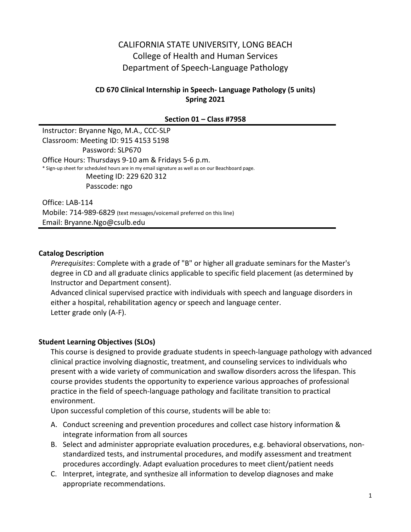# CALIFORNIA STATE UNIVERSITY, LONG BEACH College of Health and Human Services Department of Speech-Language Pathology

### **CD 670 Clinical Internship in Speech- Language Pathology (5 units) Spring 2021**

#### **Section 01 – Class #7958**

Instructor: Bryanne Ngo, M.A., CCC-SLP Classroom: Meeting ID: 915 4153 5198 Password: SLP670 Office Hours: Thursdays 9-10 am & Fridays 5-6 p.m. \* Sign-up sheet for scheduled hours are in my email signature as well as on our Beachboard page. Meeting ID: 229 620 312 Passcode: ngo

Office: LAB-114 Mobile: 714-989-6829 (text messages/voicemail preferred on this line) Email: Bryanne.Ngo@csulb.edu

#### **Catalog Description**

*Prerequisites*: Complete with a grade of "B" or higher all graduate seminars for the Master's degree in CD and all graduate clinics applicable to specific field placement (as determined by Instructor and Department consent).

Advanced clinical supervised practice with individuals with speech and language disorders in either a hospital, rehabilitation agency or speech and language center. Letter grade only (A-F).

#### **Student Learning Objectives (SLOs)**

This course is designed to provide graduate students in speech-language pathology with advanced clinical practice involving diagnostic, treatment, and counseling services to individuals who present with a wide variety of communication and swallow disorders across the lifespan. This course provides students the opportunity to experience various approaches of professional practice in the field of speech-language pathology and facilitate transition to practical environment.

Upon successful completion of this course, students will be able to:

- A. Conduct screening and prevention procedures and collect case history information & integrate information from all sources
- B. Select and administer appropriate evaluation procedures, e.g. behavioral observations, nonstandardized tests, and instrumental procedures, and modify assessment and treatment procedures accordingly. Adapt evaluation procedures to meet client/patient needs
- C. Interpret, integrate, and synthesize all information to develop diagnoses and make appropriate recommendations.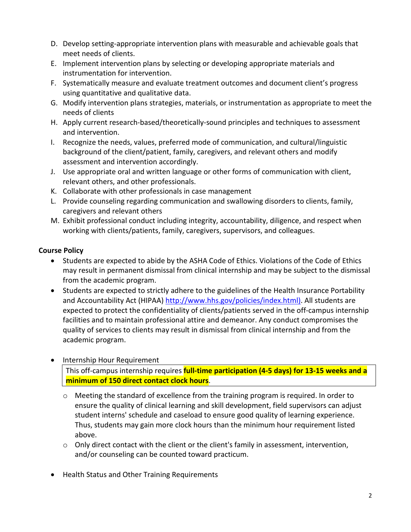- D. Develop setting-appropriate intervention plans with measurable and achievable goals that meet needs of clients.
- E. Implement intervention plans by selecting or developing appropriate materials and instrumentation for intervention.
- F. Systematically measure and evaluate treatment outcomes and document client's progress using quantitative and qualitative data.
- G. Modify intervention plans strategies, materials, or instrumentation as appropriate to meet the needs of clients
- H. Apply current research-based/theoretically-sound principles and techniques to assessment and intervention.
- I. Recognize the needs, values, preferred mode of communication, and cultural/linguistic background of the client/patient, family, caregivers, and relevant others and modify assessment and intervention accordingly.
- J. Use appropriate oral and written language or other forms of communication with client, relevant others, and other professionals.
- K. Collaborate with other professionals in case management
- L. Provide counseling regarding communication and swallowing disorders to clients, family, caregivers and relevant others
- M. Exhibit professional conduct including integrity, accountability, diligence, and respect when working with clients/patients, family, caregivers, supervisors, and colleagues.

## **Course Policy**

- Students are expected to abide by the ASHA Code of Ethics. Violations of the Code of Ethics may result in permanent dismissal from clinical internship and may be subject to the dismissal from the academic program.
- Students are expected to strictly adhere to the guidelines of the Health Insurance Portability and Accountability Act (HIPAA) [http://www.hhs.gov/policies/index.html\).](http://www.hhs.gov/policies/index.html)) All students are expected to protect the confidentiality of clients/patients served in the off-campus internship facilities and to maintain professional attire and demeanor. Any conduct compromises the quality of services to clients may result in dismissal from clinical internship and from the academic program.
- Internship Hour Requirement This off-campus internship requires **full-time participation (4-5 days) for 13-15 weeks and a minimum of 150 direct contact clock hours**.
	- o Meeting the standard of excellence from the training program is required. In order to ensure the quality of clinical learning and skill development, field supervisors can adjust student interns' schedule and caseload to ensure good quality of learning experience. Thus, students may gain more clock hours than the minimum hour requirement listed above.
	- $\circ$  Only direct contact with the client or the client's family in assessment, intervention, and/or counseling can be counted toward practicum.
- Health Status and Other Training Requirements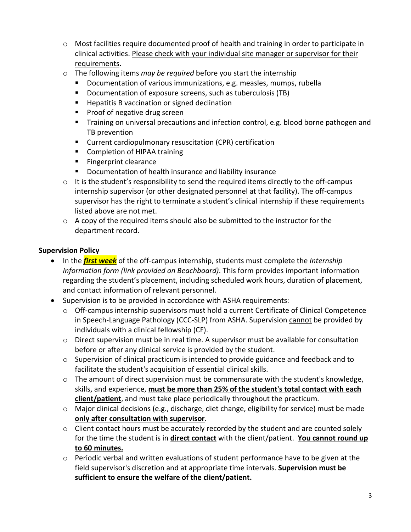- o Most facilities require documented proof of health and training in order to participate in clinical activities. Please check with your individual site manager or supervisor for their requirements.
- o The following items *may be required* before you start the internship
	- Documentation of various immunizations, e.g. measles, mumps, rubella
	- **Documentation of exposure screens, such as tuberculosis (TB)**
	- **Hepatitis B vaccination or signed declination**
	- **Proof of negative drug screen**
	- Training on universal precautions and infection control, e.g. blood borne pathogen and TB prevention
	- Current cardiopulmonary resuscitation (CPR) certification
	- **Completion of HIPAA training**
	- **Fingerprint clearance**
	- **Documentation of health insurance and liability insurance**
- $\circ$  It is the student's responsibility to send the required items directly to the off-campus internship supervisor (or other designated personnel at that facility). The off-campus supervisor has the right to terminate a student's clinical internship if these requirements listed above are not met.
- $\circ$  A copy of the required items should also be submitted to the instructor for the department record.

## **Supervision Policy**

- In the *first week* of the off-campus internship, students must complete the *Internship Information form (link provided on Beachboard)*. This form provides important information regarding the student's placement, including scheduled work hours, duration of placement, and contact information of relevant personnel.
- Supervision is to be provided in accordance with ASHA requirements:
	- o Off-campus internship supervisors must hold a current Certificate of Clinical Competence in Speech-Language Pathology (CCC-SLP) from ASHA. Supervision cannot be provided by individuals with a clinical fellowship (CF).
	- o Direct supervision must be in real time. A supervisor must be available for consultation before or after any clinical service is provided by the student.
	- $\circ$  Supervision of clinical practicum is intended to provide guidance and feedback and to facilitate the student's acquisition of essential clinical skills.
	- $\circ$  The amount of direct supervision must be commensurate with the student's knowledge, skills, and experience, **must be more than 25% of the student's total contact with each client/patient**, and must take place periodically throughout the practicum.
	- o Major clinical decisions (e.g., discharge, diet change, eligibility for service) must be made **only after consultation with supervisor**.
	- o Client contact hours must be accurately recorded by the student and are counted solely for the time the student is in **direct contact** with the client/patient. **You cannot round up to 60 minutes.**
	- o Periodic verbal and written evaluations of student performance have to be given at the field supervisor's discretion and at appropriate time intervals. **Supervision must be sufficient to ensure the welfare of the client/patient.**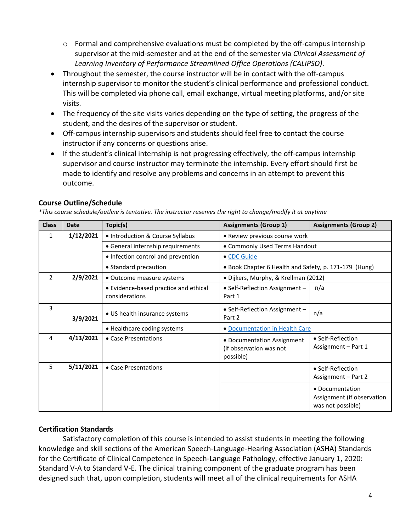- o Formal and comprehensive evaluations must be completed by the off-campus internship supervisor at the mid-semester and at the end of the semester via *Clinical Assessment of Learning Inventory of Performance Streamlined Office Operations (CALIPSO)*.
- Throughout the semester, the course instructor will be in contact with the off-campus internship supervisor to monitor the student's clinical performance and professional conduct. This will be completed via phone call, email exchange, virtual meeting platforms, and/or site visits.
- The frequency of the site visits varies depending on the type of setting, the progress of the student, and the desires of the supervisor or student.
- Off-campus internship supervisors and students should feel free to contact the course instructor if any concerns or questions arise.
- If the student's clinical internship is not progressing effectively, the off-campus internship supervisor and course instructor may terminate the internship. Every effort should first be made to identify and resolve any problems and concerns in an attempt to prevent this outcome.

## **Course Outline/Schedule**

*\*This course schedule/outline is tentative. The instructor reserves the right to change/modify it at anytime*

| <b>Class</b>  | <b>Date</b> | Topic(s)                                                | <b>Assignments (Group 1)</b>                                       | <b>Assignments (Group 2)</b>                                       |  |
|---------------|-------------|---------------------------------------------------------|--------------------------------------------------------------------|--------------------------------------------------------------------|--|
| $\mathbf{1}$  | 1/12/2021   | • Introduction & Course Syllabus                        | • Review previous course work                                      |                                                                    |  |
|               |             | • General internship requirements                       | • Commonly Used Terms Handout                                      |                                                                    |  |
|               |             | • Infection control and prevention                      | • CDC Guide                                                        |                                                                    |  |
|               |             | • Standard precaution                                   | • Book Chapter 6 Health and Safety, p. 171-179 (Hung)              |                                                                    |  |
| $\mathcal{P}$ | 2/9/2021    | • Outcome measure systems                               | · Dijkers, Murphy, & Krellman (2012)                               |                                                                    |  |
|               |             | • Evidence-based practice and ethical<br>considerations | • Self-Reflection Assignment -<br>Part 1                           | n/a                                                                |  |
| 3             | 3/9/2021    | • US health insurance systems                           | • Self-Reflection Assignment -<br>Part 2                           | n/a                                                                |  |
|               |             | • Healthcare coding systems                             | • Documentation in Health Care                                     |                                                                    |  |
| 4             | 4/13/2021   | • Case Presentations                                    | • Documentation Assignment<br>(if observation was not<br>possible) | • Self-Reflection<br>Assignment - Part 1                           |  |
| 5             | 5/11/2021   | • Case Presentations                                    |                                                                    | · Self-Reflection<br>Assignment - Part 2                           |  |
|               |             |                                                         |                                                                    | • Documentation<br>Assignment (if observation<br>was not possible) |  |

### **Certification Standards**

Satisfactory completion of this course is intended to assist students in meeting the following knowledge and skill sections of the American Speech-Language-Hearing Association (ASHA) Standards for the Certificate of Clinical Competence in Speech-Language Pathology, effective January 1, 2020: Standard V-A to Standard V-E. The clinical training component of the graduate program has been designed such that, upon completion, students will meet all of the clinical requirements for ASHA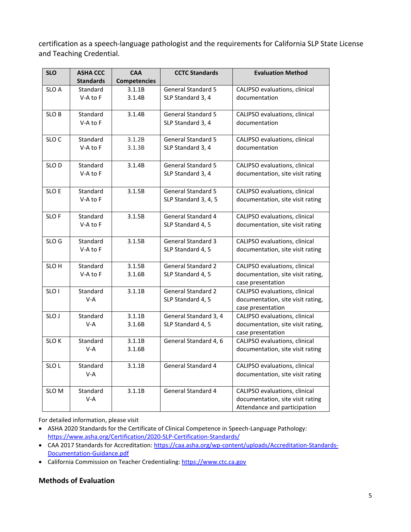certification as a speech-language pathologist and the requirements for California SLP State License and Teaching Credential.

| <b>SLO</b>       | <b>ASHA CCC</b><br><b>Standards</b> | <b>CAA</b><br><b>Competencies</b> | <b>CCTC Standards</b>                             | <b>Evaluation Method</b>                                                                          |
|------------------|-------------------------------------|-----------------------------------|---------------------------------------------------|---------------------------------------------------------------------------------------------------|
| SLO A            | Standard                            | 3.1.1B                            | <b>General Standard 5</b>                         | CALIPSO evaluations, clinical                                                                     |
|                  | V-A to F                            | 3.1.4B                            | SLP Standard 3, 4                                 | documentation                                                                                     |
| SLO B            | Standard<br>V-A to F                | 3.1.4B                            | <b>General Standard 5</b><br>SLP Standard 3, 4    | CALIPSO evaluations, clinical<br>documentation                                                    |
| SLO <sub>C</sub> | Standard<br>V-A to F                | 3.1.2B<br>3.1.3B                  | General Standard 5<br>SLP Standard 3, 4           | CALIPSO evaluations, clinical<br>documentation                                                    |
| SLO <sub>D</sub> | Standard<br>V-A to F                | 3.1.4B                            | <b>General Standard 5</b><br>SLP Standard 3, 4    | CALIPSO evaluations, clinical<br>documentation, site visit rating                                 |
| SLO E            | Standard<br>V-A to F                | 3.1.5B                            | <b>General Standard 5</b><br>SLP Standard 3, 4, 5 | CALIPSO evaluations, clinical<br>documentation, site visit rating                                 |
| SLO F            | Standard<br>V-A to F                | 3.1.5B                            | General Standard 4<br>SLP Standard 4, 5           | CALIPSO evaluations, clinical<br>documentation, site visit rating                                 |
| SLO <sub>G</sub> | Standard<br>V-A to F                | 3.1.5B                            | <b>General Standard 3</b><br>SLP Standard 4, 5    | CALIPSO evaluations, clinical<br>documentation, site visit rating                                 |
| SLO H            | Standard<br>V-A to F                | 3.1.5B<br>3.1.6B                  | <b>General Standard 2</b><br>SLP Standard 4, 5    | CALIPSO evaluations, clinical<br>documentation, site visit rating,<br>case presentation           |
| SLO <sub>1</sub> | Standard<br>$V-A$                   | 3.1.1B                            | <b>General Standard 2</b><br>SLP Standard 4, 5    | CALIPSO evaluations, clinical<br>documentation, site visit rating,<br>case presentation           |
| SLO J            | Standard<br>$V-A$                   | 3.1.1B<br>3.1.6B                  | General Standard 3, 4<br>SLP Standard 4, 5        | CALIPSO evaluations, clinical<br>documentation, site visit rating,<br>case presentation           |
| SLO K            | Standard<br>V-A                     | 3.1.1B<br>3.1.6B                  | General Standard 4, 6                             | CALIPSO evaluations, clinical<br>documentation, site visit rating                                 |
| SLO <sub>L</sub> | Standard<br>$V-A$                   | 3.1.1B                            | <b>General Standard 4</b>                         | CALIPSO evaluations, clinical<br>documentation, site visit rating                                 |
| SLO <sub>M</sub> | Standard<br>$V-A$                   | 3.1.1B                            | <b>General Standard 4</b>                         | CALIPSO evaluations, clinical<br>documentation, site visit rating<br>Attendance and participation |

For detailed information, please visit

- ASHA 2020 Standards for the Certificate of Clinical Competence in Speech-Language Pathology: <https://www.asha.org/Certification/2020-SLP-Certification-Standards/>
- CAA 2017 Standards for Accreditation: [https://caa.asha.org/wp-content/uploads/Accreditation-Standards-](https://caa.asha.org/wp-content/uploads/Accreditation-Standards-Documentation-Guidance.pdf)[Documentation-Guidance.pdf](https://caa.asha.org/wp-content/uploads/Accreditation-Standards-Documentation-Guidance.pdf)
- California Commission on Teacher Credentialing: [https://www.ctc.ca.gov](https://www.ctc.ca.gov/)

#### **Methods of Evaluation**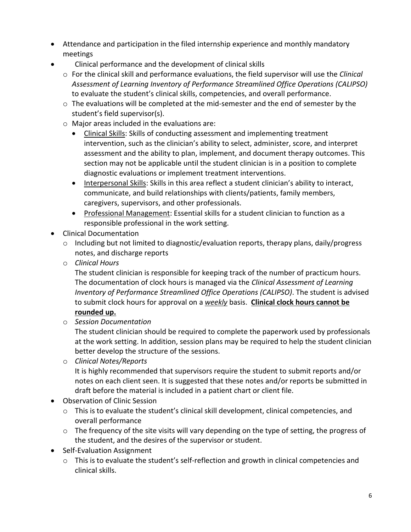- Attendance and participation in the filed internship experience and monthly mandatory meetings
- Clinical performance and the development of clinical skills
	- o For the clinical skill and performance evaluations, the field supervisor will use the *Clinical Assessment of Learning Inventory of Performance Streamlined Office Operations (CALIPSO)* to evaluate the student's clinical skills, competencies, and overall performance.
	- $\circ$  The evaluations will be completed at the mid-semester and the end of semester by the student's field supervisor(s).
	- o Major areas included in the evaluations are:
		- Clinical Skills: Skills of conducting assessment and implementing treatment intervention, such as the clinician's ability to select, administer, score, and interpret assessment and the ability to plan, implement, and document therapy outcomes. This section may not be applicable until the student clinician is in a position to complete diagnostic evaluations or implement treatment interventions.
		- Interpersonal Skills: Skills in this area reflect a student clinician's ability to interact, communicate, and build relationships with clients/patients, family members, caregivers, supervisors, and other professionals.
		- Professional Management: Essential skills for a student clinician to function as a responsible professional in the work setting.
- Clinical Documentation
	- o Including but not limited to diagnostic/evaluation reports, therapy plans, daily/progress notes, and discharge reports
	- o *Clinical Hours*

The student clinician is responsible for keeping track of the number of practicum hours. The documentation of clock hours is managed via the *Clinical Assessment of Learning Inventory of Performance Streamlined Office Operations (CALIPSO)*. The student is advised to submit clock hours for approval on a *weekly* basis. **Clinical clock hours cannot be rounded up.**

o *Session Documentation*

The student clinician should be required to complete the paperwork used by professionals at the work setting. In addition, session plans may be required to help the student clinician better develop the structure of the sessions.

o *Clinical Notes/Reports*

It is highly recommended that supervisors require the student to submit reports and/or notes on each client seen. It is suggested that these notes and/or reports be submitted in draft before the material is included in a patient chart or client file.

- Observation of Clinic Session
	- o This is to evaluate the student's clinical skill development, clinical competencies, and overall performance
	- o The frequency of the site visits will vary depending on the type of setting, the progress of the student, and the desires of the supervisor or student.
- Self-Evaluation Assignment
	- o This is to evaluate the student's self-reflection and growth in clinical competencies and clinical skills.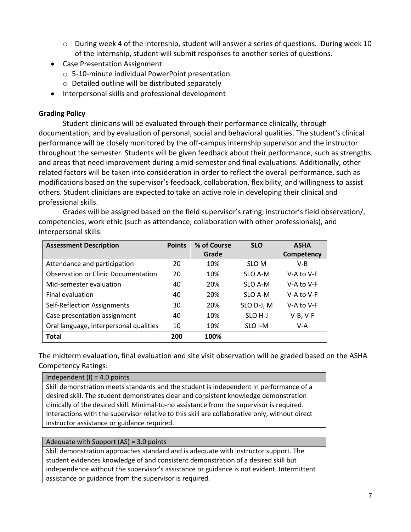- o During week 4 of the internship, student will answer a series of questions. During week 10 of the internship, student will submit responses to another series of questions.
- Case Presentation Assignment
	- o 5-10-minute individual PowerPoint presentation
	- o Detailed outline will be distributed separately
- Interpersonal skills and professional development

#### **Grading Policy**

Student clinicians will be evaluated through their performance clinically, through documentation, and by evaluation of personal, social and behavioral qualities. The student's clinical performance will be closely monitored by the off-campus internship supervisor and the instructor throughout the semester. Students will be given feedback about their performance, such as strengths and areas that need improvement during a mid-semester and final evaluations. Additionally, other related factors will be taken into consideration in order to reflect the overall performance, such as modifications based on the supervisor's feedback, collaboration, flexibility, and willingness to assist others. Student clinicians are expected to take an active role in developing their clinical and professional skills.

Grades will be assigned based on the field supervisor's rating, instructor's field observation/, competencies, work ethic (such as attendance, collaboration with other professionals), and interpersonal skills.

| <b>Assessment Description</b>          | <b>Points</b> | % of Course | <b>SLO</b>         | <b>ASHA</b> |
|----------------------------------------|---------------|-------------|--------------------|-------------|
|                                        |               | Grade       |                    | Competency  |
| Attendance and participation           | 20            | 10%         | SLO M              | V-B         |
| Observation or Clinic Documentation    | 20            | 10%         | SLO A-M            | V-A to V-F  |
| Mid-semester evaluation                | 40            | 20%         | SLO A-M            | V-A to V-F  |
| Final evaluation                       | 40            | 20%         | SLO A-M            | V-A to V-F  |
| Self-Reflection Assignments            | 30            | 20%         | SLO D-J, M         | V-A to V-F  |
| Case presentation assignment           | 40            | 10%         | SLO <sub>H-J</sub> | $V-B, V-F$  |
| Oral language, interpersonal qualities | 10            | 10%         | SLO I-M            | V-A         |
| <b>Total</b>                           | 200           | 100%        |                    |             |

The midterm evaluation, final evaluation and site visit observation will be graded based on the ASHA Competency Ratings:

## Independent  $(I) = 4.0$  points Skill demonstration meets standards and the student is independent in performance of a desired skill. The student demonstrates clear and consistent knowledge demonstration clinically of the desired skill. Minimal-to-no assistance from the supervisor is required. Interactions with the supervisor relative to this skill are collaborative only, without direct instructor assistance or guidance required.

#### Adequate with Support (AS) = 3.0 points

Skill demonstration approaches standard and is adequate with instructor support. The student evidences knowledge of and consistent demonstration of a desired skill but independence without the supervisor's assistance or guidance is not evident. Intermittent assistance or guidance from the supervisor is required.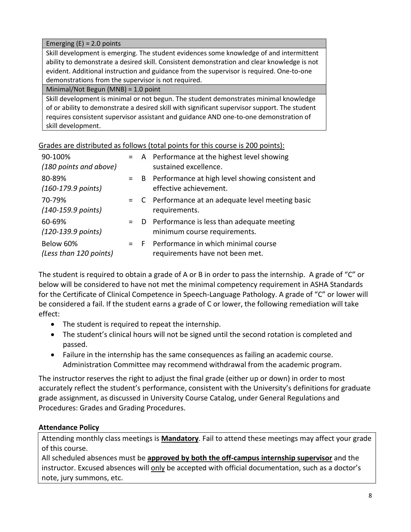#### Emerging  $(E) = 2.0$  points

Skill development is emerging. The student evidences some knowledge of and intermittent ability to demonstrate a desired skill. Consistent demonstration and clear knowledge is not evident. Additional instruction and guidance from the supervisor is required. One-to-one demonstrations from the supervisor is not required.

Minimal/Not Begun (MNB) = 1.0 point

Skill development is minimal or not begun. The student demonstrates minimal knowledge of or ability to demonstrate a desired skill with significant supervisor support. The student requires consistent supervisor assistant and guidance AND one-to-one demonstration of skill development.

Grades are distributed as follows (total points for this course is 200 points):

| 90-100%<br>(180 points and above)      |       | = A Performance at the highest level showing<br>sustained excellence.         |
|----------------------------------------|-------|-------------------------------------------------------------------------------|
| 80-89%<br>$(160-179.9 \text{ points})$ | $=$ B | Performance at high level showing consistent and<br>effective achievement.    |
| 70-79%<br>(140-159.9 points)           |       | = C Performance at an adequate level meeting basic<br>requirements.           |
| 60-69%<br>$(120-139.9 \text{ points})$ |       | = D Performance is less than adequate meeting<br>minimum course requirements. |
| Below 60%<br>(Less than 120 points)    |       | = F Performance in which minimal course<br>requirements have not been met.    |

The student is required to obtain a grade of A or B in order to pass the internship. A grade of "C" or below will be considered to have not met the minimal competency requirement in ASHA Standards for the Certificate of Clinical Competence in Speech-Language Pathology. A grade of "C" or lower will be considered a fail. If the student earns a grade of C or lower, the following remediation will take effect:

- The student is required to repeat the internship.
- The student's clinical hours will not be signed until the second rotation is completed and passed.
- Failure in the internship has the same consequences as failing an academic course. Administration Committee may recommend withdrawal from the academic program.

The instructor reserves the right to adjust the final grade (either up or down) in order to most accurately reflect the student's performance, consistent with the University's definitions for graduate grade assignment, as discussed in University Course Catalog, under General Regulations and Procedures: Grades and Grading Procedures.

### **Attendance Policy**

Attending monthly class meetings is **Mandatory**. Fail to attend these meetings may affect your grade of this course.

All scheduled absences must be **approved by both the off-campus internship supervisor** and the instructor. Excused absences will only be accepted with official documentation, such as a doctor's note, jury summons, etc.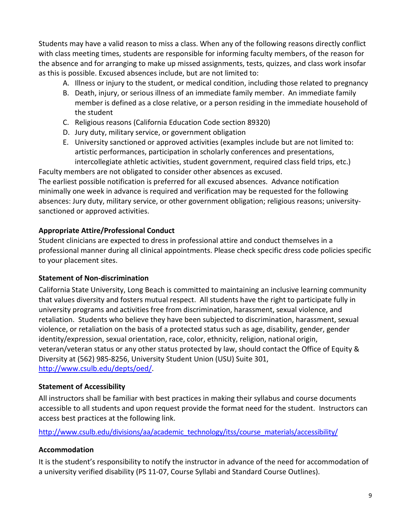Students may have a valid reason to miss a class. When any of the following reasons directly conflict with class meeting times, students are responsible for informing faculty members, of the reason for the absence and for arranging to make up missed assignments, tests, quizzes, and class work insofar as this is possible. Excused absences include, but are not limited to:

- A. Illness or injury to the student, or medical condition, including those related to pregnancy
- B. Death, injury, or serious illness of an immediate family member. An immediate family member is defined as a close relative, or a person residing in the immediate household of the student
- C. Religious reasons (California Education Code section 89320)
- D. Jury duty, military service, or government obligation
- E. University sanctioned or approved activities (examples include but are not limited to: artistic performances, participation in scholarly conferences and presentations, intercollegiate athletic activities, student government, required class field trips, etc.)

Faculty members are not obligated to consider other absences as excused. The earliest possible notification is preferred for all excused absences. Advance notification minimally one week in advance is required and verification may be requested for the following absences: Jury duty, military service, or other government obligation; religious reasons; universitysanctioned or approved activities.

## **Appropriate Attire/Professional Conduct**

Student clinicians are expected to dress in professional attire and conduct themselves in a professional manner during all clinical appointments. Please check specific dress code policies specific to your placement sites.

### **Statement of Non-discrimination**

California State University, Long Beach is committed to maintaining an inclusive learning community that values diversity and fosters mutual respect. All students have the right to participate fully in university programs and activities free from discrimination, harassment, sexual violence, and retaliation. Students who believe they have been subjected to discrimination, harassment, sexual violence, or retaliation on the basis of a protected status such as age, disability, gender, gender identity/expression, sexual orientation, race, color, ethnicity, religion, national origin, veteran/veteran status or any other status protected by law, should contact the Office of Equity & Diversity at (562) 985-8256, University Student Union (USU) Suite 301, [http://www.csulb.edu/depts/oed/.](http://www.csulb.edu/depts/oed/)

## **Statement of Accessibility**

All instructors shall be familiar with best practices in making their syllabus and course documents accessible to all students and upon request provide the format need for the student. Instructors can access best practices at the following link.

[http://www.csulb.edu/divisions/aa/academic\\_technology/itss/course\\_materials/accessibility/](http://www.csulb.edu/divisions/aa/academic_technology/itss/course_materials/accessibility/)

## **Accommodation**

It is the student's responsibility to notify the instructor in advance of the need for accommodation of a university verified disability (PS 11-07, Course Syllabi and Standard Course Outlines).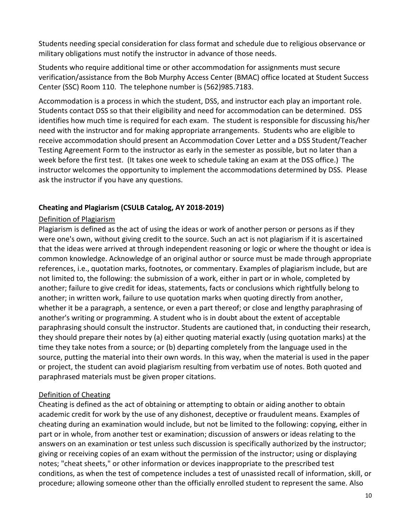Students needing special consideration for class format and schedule due to religious observance or military obligations must notify the instructor in advance of those needs.

Students who require additional time or other accommodation for assignments must secure verification/assistance from the Bob Murphy Access Center (BMAC) office located at Student Success Center (SSC) Room 110. The telephone number is (562)985.7183.

Accommodation is a process in which the student, DSS, and instructor each play an important role. Students contact DSS so that their eligibility and need for accommodation can be determined. DSS identifies how much time is required for each exam. The student is responsible for discussing his/her need with the instructor and for making appropriate arrangements. Students who are eligible to receive accommodation should present an Accommodation Cover Letter and a DSS Student/Teacher Testing Agreement Form to the instructor as early in the semester as possible, but no later than a week before the first test. (It takes one week to schedule taking an exam at the DSS office.) The instructor welcomes the opportunity to implement the accommodations determined by DSS. Please ask the instructor if you have any questions.

## **Cheating and Plagiarism (CSULB Catalog, AY 2018-2019)**

### Definition of Plagiarism

Plagiarism is defined as the act of using the ideas or work of another person or persons as if they were one's own, without giving credit to the source. Such an act is not plagiarism if it is ascertained that the ideas were arrived at through independent reasoning or logic or where the thought or idea is common knowledge. Acknowledge of an original author or source must be made through appropriate references, i.e., quotation marks, footnotes, or commentary. Examples of plagiarism include, but are not limited to, the following: the submission of a work, either in part or in whole, completed by another; failure to give credit for ideas, statements, facts or conclusions which rightfully belong to another; in written work, failure to use quotation marks when quoting directly from another, whether it be a paragraph, a sentence, or even a part thereof; or close and lengthy paraphrasing of another's writing or programming. A student who is in doubt about the extent of acceptable paraphrasing should consult the instructor. Students are cautioned that, in conducting their research, they should prepare their notes by (a) either quoting material exactly (using quotation marks) at the time they take notes from a source; or (b) departing completely from the language used in the source, putting the material into their own words. In this way, when the material is used in the paper or project, the student can avoid plagiarism resulting from verbatim use of notes. Both quoted and paraphrased materials must be given proper citations.

### Definition of Cheating

Cheating is defined as the act of obtaining or attempting to obtain or aiding another to obtain academic credit for work by the use of any dishonest, deceptive or fraudulent means. Examples of cheating during an examination would include, but not be limited to the following: copying, either in part or in whole, from another test or examination; discussion of answers or ideas relating to the answers on an examination or test unless such discussion is specifically authorized by the instructor; giving or receiving copies of an exam without the permission of the instructor; using or displaying notes; "cheat sheets," or other information or devices inappropriate to the prescribed test conditions, as when the test of competence includes a test of unassisted recall of information, skill, or procedure; allowing someone other than the officially enrolled student to represent the same. Also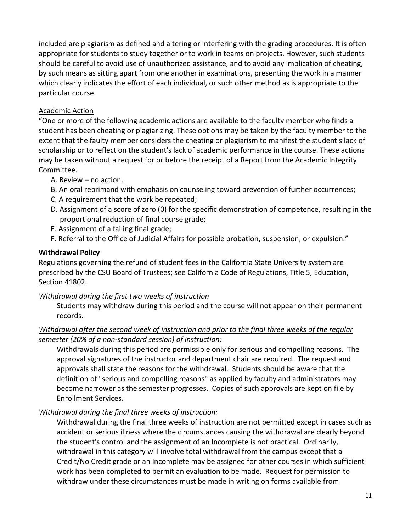included are plagiarism as defined and altering or interfering with the grading procedures. It is often appropriate for students to study together or to work in teams on projects. However, such students should be careful to avoid use of unauthorized assistance, and to avoid any implication of cheating, by such means as sitting apart from one another in examinations, presenting the work in a manner which clearly indicates the effort of each individual, or such other method as is appropriate to the particular course.

### Academic Action

"One or more of the following academic actions are available to the faculty member who finds a student has been cheating or plagiarizing. These options may be taken by the faculty member to the extent that the faulty member considers the cheating or plagiarism to manifest the student's lack of scholarship or to reflect on the student's lack of academic performance in the course. These actions may be taken without a request for or before the receipt of a Report from the Academic Integrity Committee.

- A. Review no action.
- B. An oral reprimand with emphasis on counseling toward prevention of further occurrences;
- C. A requirement that the work be repeated;
- D. Assignment of a score of zero (0) for the specific demonstration of competence, resulting in the proportional reduction of final course grade;
- E. Assignment of a failing final grade;
- F. Referral to the Office of Judicial Affairs for possible probation, suspension, or expulsion."

## **Withdrawal Policy**

Regulations governing the refund of student fees in the California State University system are prescribed by the CSU Board of Trustees; see California Code of Regulations, Title 5, Education, Section 41802.

## *Withdrawal during the first two weeks of instruction*

Students may withdraw during this period and the course will not appear on their permanent records.

## *Withdrawal after the second week of instruction and prior to the final three weeks of the regular semester (20% of a non-standard session) of instruction:*

Withdrawals during this period are permissible only for serious and compelling reasons. The approval signatures of the instructor and department chair are required. The request and approvals shall state the reasons for the withdrawal. Students should be aware that the definition of "serious and compelling reasons" as applied by faculty and administrators may become narrower as the semester progresses. Copies of such approvals are kept on file by Enrollment Services.

## *Withdrawal during the final three weeks of instruction:*

Withdrawal during the final three weeks of instruction are not permitted except in cases such as accident or serious illness where the circumstances causing the withdrawal are clearly beyond the student's control and the assignment of an Incomplete is not practical. Ordinarily, withdrawal in this category will involve total withdrawal from the campus except that a Credit/No Credit grade or an Incomplete may be assigned for other courses in which sufficient work has been completed to permit an evaluation to be made. Request for permission to withdraw under these circumstances must be made in writing on forms available from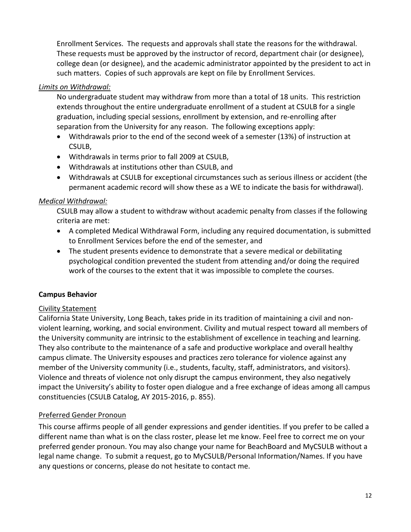Enrollment Services. The requests and approvals shall state the reasons for the withdrawal. These requests must be approved by the instructor of record, department chair (or designee), college dean (or designee), and the academic administrator appointed by the president to act in such matters. Copies of such approvals are kept on file by Enrollment Services.

## *Limits on Withdrawal:*

No undergraduate student may withdraw from more than a total of 18 units. This restriction extends throughout the entire undergraduate enrollment of a student at CSULB for a single graduation, including special sessions, enrollment by extension, and re-enrolling after separation from the University for any reason. The following exceptions apply:

- Withdrawals prior to the end of the second week of a semester (13%) of instruction at CSULB,
- Withdrawals in terms prior to fall 2009 at CSULB,
- Withdrawals at institutions other than CSULB, and
- Withdrawals at CSULB for exceptional circumstances such as serious illness or accident (the permanent academic record will show these as a WE to indicate the basis for withdrawal).

### *Medical Withdrawal:*

CSULB may allow a student to withdraw without academic penalty from classes if the following criteria are met:

- A completed Medical Withdrawal Form, including any required documentation, is submitted to Enrollment Services before the end of the semester, and
- The student presents evidence to demonstrate that a severe medical or debilitating psychological condition prevented the student from attending and/or doing the required work of the courses to the extent that it was impossible to complete the courses.

### **Campus Behavior**

### Civility Statement

California State University, Long Beach, takes pride in its tradition of maintaining a civil and nonviolent learning, working, and social environment. Civility and mutual respect toward all members of the University community are intrinsic to the establishment of excellence in teaching and learning. They also contribute to the maintenance of a safe and productive workplace and overall healthy campus climate. The University espouses and practices zero tolerance for violence against any member of the University community (i.e., students, faculty, staff, administrators, and visitors). Violence and threats of violence not only disrupt the campus environment, they also negatively impact the University's ability to foster open dialogue and a free exchange of ideas among all campus constituencies (CSULB Catalog, AY 2015-2016, p. 855).

### Preferred Gender Pronoun

This course affirms people of all gender expressions and gender identities. If you prefer to be called a different name than what is on the class roster, please let me know. Feel free to correct me on your preferred gender pronoun. You may also change your name for BeachBoard and MyCSULB without a legal name change. To submit a request, go to MyCSULB/Personal Information/Names. If you have any questions or concerns, please do not hesitate to contact me.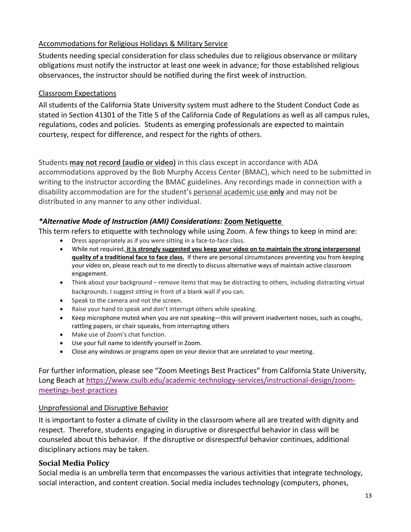## Accommodations for Religious Holidays & Military Service

Students needing special consideration for class schedules due to religious observance or military obligations must notify the instructor at least one week in advance; for those established religious observances, the instructor should be notified during the first week of instruction.

### Classroom Expectations

All students of the California State University system must adhere to the Student Conduct Code as stated in Section 41301 of the Title 5 of the California Code of Regulations as well as all campus rules, regulations, codes and policies. Students as emerging professionals are expected to maintain courtesy, respect for difference, and respect for the rights of others.

### Students **may not record (audio or video)** in this class except in accordance with ADA

accommodations approved by the Bob Murphy Access Center (BMAC), which need to be submitted in writing to the instructor according the BMAC guidelines. Any recordings made in connection with a disability accommodation are for the student's personal academic use **only** and may not be distributed in any manner to any other individual.

## *\*Alternative Mode of Instruction (AMI) Considerations:* **Zoom Netiquette**

This term refers to etiquette with technology while using Zoom. A few things to keep in mind are:

- Dress appropriately as if you were sitting in a face-to-face class.
- While not required, **it is strongly suggested you keep your video on to maintain the strong interpersonal quality of a traditional face to face class.** If there are personal circumstances preventing you from keeping your video on, please reach out to me directly to discuss alternative ways of maintain active classroom engagement.
- Think about your background remove items that may be distracting to others, including distracting virtual backgrounds. I suggest sitting in front of a blank wall if you can.
- Speak to the camera and not the screen.
- Raise your hand to speak and don't interrupt others while speaking.
- Keep microphone muted when you are not speaking—this will prevent inadvertent noises, such as coughs, rattling papers, or chair squeaks, from interrupting others
- Make use of Zoom's chat function.
- Use your full name to identify yourself in Zoom.
- Close any windows or programs open on your device that are unrelated to your meeting.

For further information, please see "Zoom Meetings Best Practices" from California State University, Long Beach at [https://www.csulb.edu/academic-technology-services/instructional-design/zoom](https://www.csulb.edu/academic-technology-services/instructional-design/zoom-meetings-best-practices)[meetings-best-practices](https://www.csulb.edu/academic-technology-services/instructional-design/zoom-meetings-best-practices)

### Unprofessional and Disruptive Behavior

It is important to foster a climate of civility in the classroom where all are treated with dignity and respect. Therefore, students engaging in disruptive or disrespectful behavior in class will be counseled about this behavior. If the disruptive or disrespectful behavior continues, additional disciplinary actions may be taken.

## **Social Media Policy**

Social media is an umbrella term that encompasses the various activities that integrate technology, social interaction, and content creation. Social media includes technology (computers, phones,